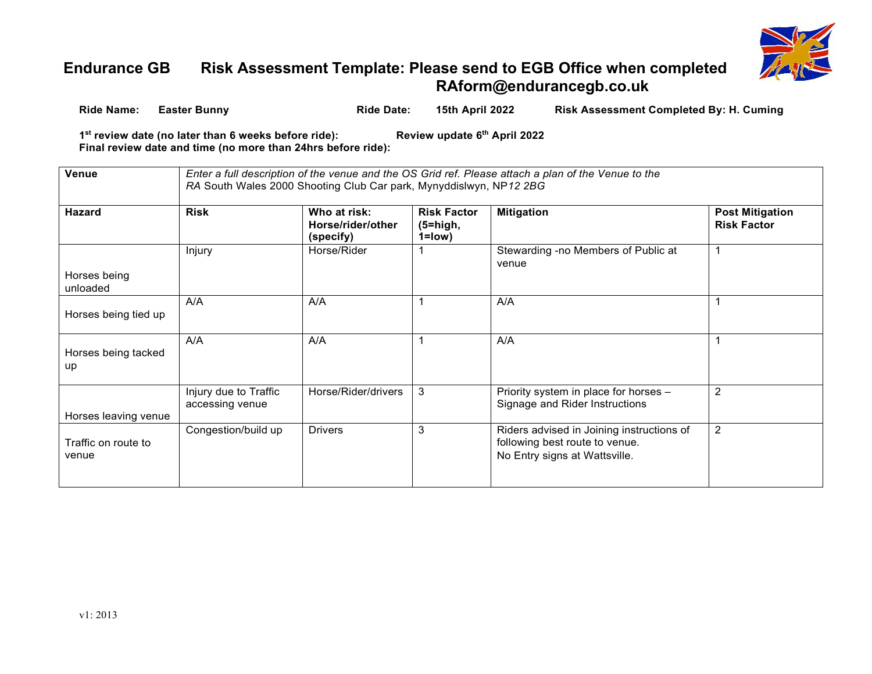

## **Endurance GB Risk Assessment Template: Please send to EGB Office when completed [RAform@endurancegb.co.uk](mailto:RAform@endurancegb.co.uk)**

| Ride Name: | <b>Easter Bunny</b>                                                                                                              | <b>Ride Date:</b> | 15th April 2022              | <b>Risk Assessment Completed By: H. Cuming</b> |
|------------|----------------------------------------------------------------------------------------------------------------------------------|-------------------|------------------------------|------------------------------------------------|
|            | 1 <sup>st</sup> review date (no later than 6 weeks before ride):<br>Final review date and time (no more than 24hrs before ride): |                   | Review update 6th April 2022 |                                                |

| Venue                        | Enter a full description of the venue and the OS Grid ref. Please attach a plan of the Venue to the<br>RA South Wales 2000 Shooting Club Car park, Mynyddislwyn, NP12 2BG |                                                |                                               |                                                                                                              |                                              |  |  |
|------------------------------|---------------------------------------------------------------------------------------------------------------------------------------------------------------------------|------------------------------------------------|-----------------------------------------------|--------------------------------------------------------------------------------------------------------------|----------------------------------------------|--|--|
| <b>Hazard</b>                | <b>Risk</b>                                                                                                                                                               | Who at risk:<br>Horse/rider/other<br>(specify) | <b>Risk Factor</b><br>$(5=high,$<br>$1 = low$ | <b>Mitigation</b>                                                                                            | <b>Post Mitigation</b><br><b>Risk Factor</b> |  |  |
| Horses being<br>unloaded     | Injury                                                                                                                                                                    | Horse/Rider                                    |                                               | Stewarding -no Members of Public at<br>venue                                                                 |                                              |  |  |
| Horses being tied up         | A/A                                                                                                                                                                       | A/A                                            |                                               | A/A                                                                                                          |                                              |  |  |
| Horses being tacked<br>up    | A/A                                                                                                                                                                       | A/A                                            |                                               | A/A                                                                                                          |                                              |  |  |
| Horses leaving venue         | Injury due to Traffic<br>accessing venue                                                                                                                                  | Horse/Rider/drivers                            | 3                                             | Priority system in place for horses -<br>Signage and Rider Instructions                                      | $\overline{2}$                               |  |  |
| Traffic on route to<br>venue | Congestion/build up                                                                                                                                                       | <b>Drivers</b>                                 | 3                                             | Riders advised in Joining instructions of<br>following best route to venue.<br>No Entry signs at Wattsville. | $\overline{2}$                               |  |  |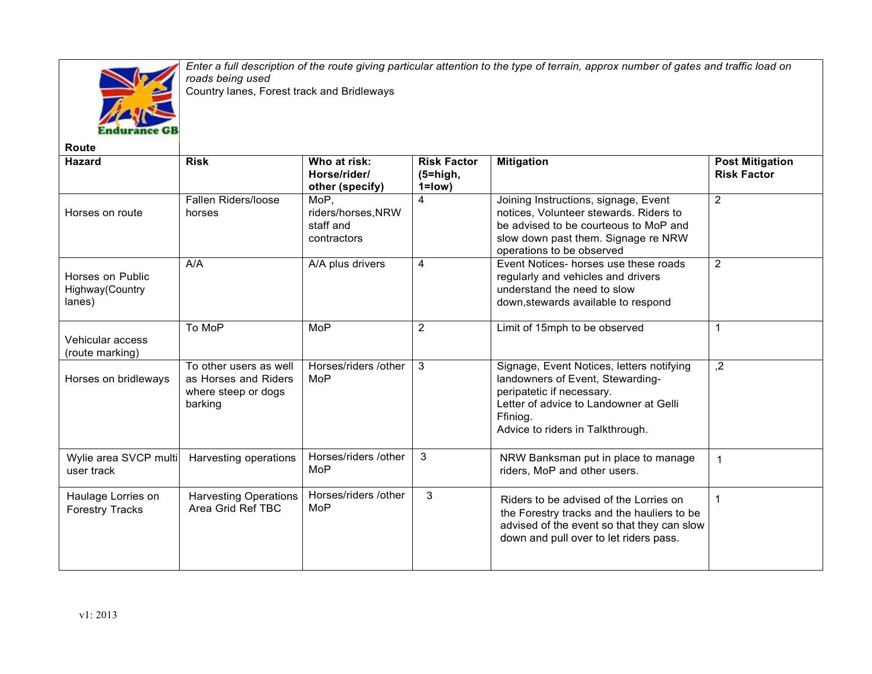

*Enter a full description of the route giving particular attention to the type of terrain, approx number of gates and traffic load on roads being used* Country lanes, Forest track and Bridleways

| <b>Route</b>                                   |                                                                                  |                                                        |                                                 |                                                                                                                                                                                                      |                                              |
|------------------------------------------------|----------------------------------------------------------------------------------|--------------------------------------------------------|-------------------------------------------------|------------------------------------------------------------------------------------------------------------------------------------------------------------------------------------------------------|----------------------------------------------|
| <b>Hazard</b>                                  | <b>Risk</b>                                                                      | Who at risk:<br>Horse/rider/<br>other (specify)        | <b>Risk Factor</b><br>$(5 = high,$<br>$1 = low$ | <b>Mitigation</b>                                                                                                                                                                                    | <b>Post Mitigation</b><br><b>Risk Factor</b> |
| Horses on route                                | Fallen Riders/loose<br>horses                                                    | MoP.<br>riders/horses, NRW<br>staff and<br>contractors | $\overline{4}$                                  | Joining Instructions, signage, Event<br>notices, Volunteer stewards. Riders to<br>be advised to be courteous to MoP and<br>slow down past them. Signage re NRW<br>operations to be observed          | $\overline{2}$                               |
| Horses on Public<br>Highway (Country<br>lanes) | A/A                                                                              | A/A plus drivers                                       | 4                                               | Event Notices- horses use these roads<br>regularly and vehicles and drivers<br>understand the need to slow<br>down, stewards available to respond                                                    | $\overline{2}$                               |
| Vehicular access<br>(route marking)            | To MoP                                                                           | <b>MoP</b>                                             | $\overline{2}$                                  | Limit of 15mph to be observed                                                                                                                                                                        | $\mathbf{1}$                                 |
| Horses on bridleways                           | To other users as well<br>as Horses and Riders<br>where steep or dogs<br>barking | Horses/riders /other<br>MoP                            | 3                                               | Signage, Event Notices, letters notifying<br>landowners of Event, Stewarding-<br>peripatetic if necessary.<br>Letter of advice to Landowner at Gelli<br>Ffiniog.<br>Advice to riders in Talkthrough. | $\overline{.2}$                              |
| Wylie area SVCP multi<br>user track            | Harvesting operations                                                            | Horses/riders /other<br>MoP                            | 3                                               | NRW Banksman put in place to manage<br>riders, MoP and other users.                                                                                                                                  |                                              |
| Haulage Lorries on<br><b>Forestry Tracks</b>   | <b>Harvesting Operations</b><br>Area Grid Ref TBC                                | Horses/riders /other<br>MoP                            | 3                                               | Riders to be advised of the Lorries on<br>the Forestry tracks and the hauliers to be<br>advised of the event so that they can slow<br>down and pull over to let riders pass.                         | 1                                            |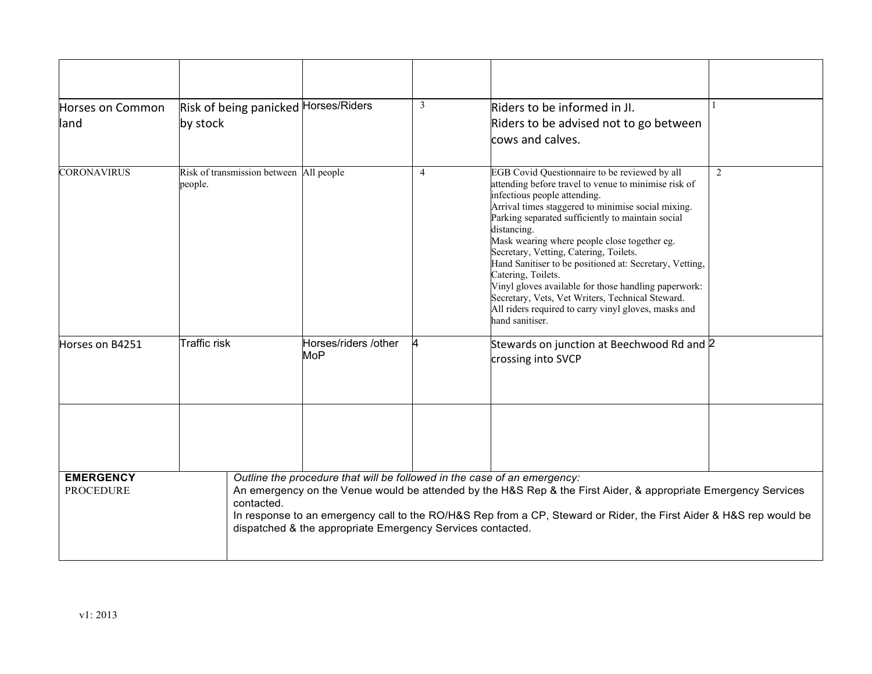| Horses on Common<br>lland            | Risk of being panicked Horses/Riders<br>by stock   |                                                                                                                                                                                                                                                                                                                                                                                | 3              | Riders to be informed in Jl.<br>Riders to be advised not to go between<br>cows and calves.                                                                                                                                                                                                                                                                                                                                                                                                                                                                                                                                        |   |  |
|--------------------------------------|----------------------------------------------------|--------------------------------------------------------------------------------------------------------------------------------------------------------------------------------------------------------------------------------------------------------------------------------------------------------------------------------------------------------------------------------|----------------|-----------------------------------------------------------------------------------------------------------------------------------------------------------------------------------------------------------------------------------------------------------------------------------------------------------------------------------------------------------------------------------------------------------------------------------------------------------------------------------------------------------------------------------------------------------------------------------------------------------------------------------|---|--|
| <b>CORONAVIRUS</b>                   | Risk of transmission between All people<br>people. |                                                                                                                                                                                                                                                                                                                                                                                | $\overline{4}$ | EGB Covid Questionnaire to be reviewed by all<br>attending before travel to venue to minimise risk of<br>infectious people attending.<br>Arrival times staggered to minimise social mixing.<br>Parking separated sufficiently to maintain social<br>distancing.<br>Mask wearing where people close together eg.<br>Secretary, Vetting, Catering, Toilets.<br>Hand Sanitiser to be positioned at: Secretary, Vetting,<br>Catering, Toilets.<br>Vinyl gloves available for those handling paperwork:<br>Secretary, Vets, Vet Writers, Technical Steward.<br>All riders required to carry vinyl gloves, masks and<br>hand sanitiser. | 2 |  |
| Horses on B4251                      | Traffic risk                                       | Horses/riders /other<br><b>MoP</b>                                                                                                                                                                                                                                                                                                                                             |                | Stewards on junction at Beechwood Rd and 2<br>crossing into SVCP                                                                                                                                                                                                                                                                                                                                                                                                                                                                                                                                                                  |   |  |
|                                      |                                                    |                                                                                                                                                                                                                                                                                                                                                                                |                |                                                                                                                                                                                                                                                                                                                                                                                                                                                                                                                                                                                                                                   |   |  |
| <b>EMERGENCY</b><br><b>PROCEDURE</b> | contacted.                                         | Outline the procedure that will be followed in the case of an emergency:<br>An emergency on the Venue would be attended by the H&S Rep & the First Aider, & appropriate Emergency Services<br>In response to an emergency call to the RO/H&S Rep from a CP, Steward or Rider, the First Aider & H&S rep would be<br>dispatched & the appropriate Emergency Services contacted. |                |                                                                                                                                                                                                                                                                                                                                                                                                                                                                                                                                                                                                                                   |   |  |